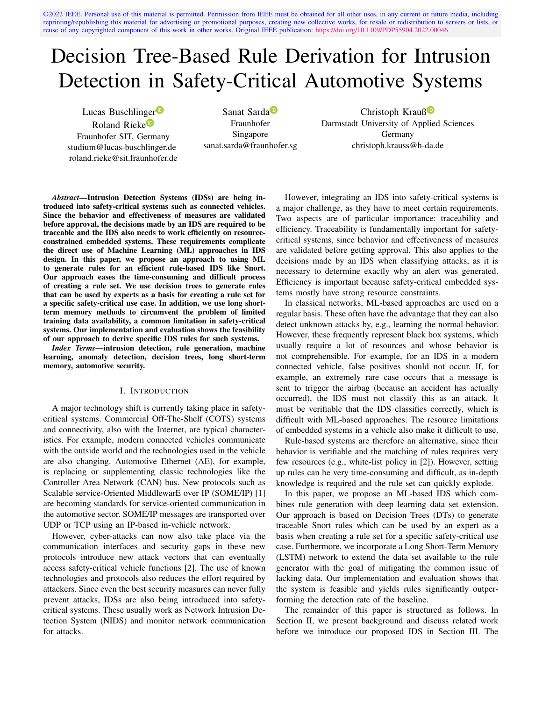©2022 IEEE. Personal use of this material is permitted. Permission from IEEE must be obtained for all other uses, in any current or future media, including reprinting/republishing this material for advertising or promotional purposes, creating new collective works, for resale or redistribution to servers or lists, or reuse of any copyrighted component of this work in other works. Original IEEE publication: <https://doi.org/10.1109/PDP55904.2022.00046>

# Decision Tree-Based Rule Derivation for Intrusion Detection in Safety-Critical Automotive Systems

Lucas Buschlinger<sup>D</sup> Roland Rieke<sup>D</sup> Fraunhofer SIT, Germany studium@lucas-buschlinger.de roland.rieke@sit.fraunhofer.de

Sanat Sarda<sup>D</sup> Fraunhofer Singapore sanat.sarda@fraunhofer.sg

Christoph Krauß<sup>®</sup> Darmstadt University of Applied Sciences Germany christoph.krauss@h-da.de

*Abstract*—Intrusion Detection Systems (IDSs) are being introduced into safety-critical systems such as connected vehicles. Since the behavior and effectiveness of measures are validated before approval, the decisions made by an IDS are required to be traceable and the IDS also needs to work efficiently on resourceconstrained embedded systems. These requirements complicate the direct use of Machine Learning (ML) approaches in IDS design. In this paper, we propose an approach to using ML to generate rules for an efficient rule-based IDS like Snort. Our approach eases the time-consuming and difficult process of creating a rule set. We use decision trees to generate rules that can be used by experts as a basis for creating a rule set for a specific safety-critical use case. In addition, we use long shortterm memory methods to circumvent the problem of limited training data availability, a common limitation in safety-critical systems. Our implementation and evaluation shows the feasibility of our approach to derive specific IDS rules for such systems.

*Index Terms*—intrusion detection, rule generation, machine learning, anomaly detection, decision trees, long short-term memory, automotive security.

## I. INTRODUCTION

A major technology shift is currently taking place in safetycritical systems. Commercial Off-The-Shelf (COTS) systems and connectivity, also with the Internet, are typical characteristics. For example, modern connected vehicles communicate with the outside world and the technologies used in the vehicle are also changing. Automotive Ethernet (AE), for example, is replacing or supplementing classic technologies like the Controller Area Network (CAN) bus. New protocols such as Scalable service-Oriented MiddlewarE over IP (SOME/IP) [1] are becoming standards for service-oriented communication in the automotive sector. SOME/IP messages are transported over UDP or TCP using an IP-based in-vehicle network.

However, cyber-attacks can now also take place via the communication interfaces and security gaps in these new protocols introduce new attack vectors that can eventually access safety-critical vehicle functions [2]. The use of known technologies and protocols also reduces the effort required by attackers. Since even the best security measures can never fully prevent attacks, IDSs are also being introduced into safetycritical systems. These usually work as Network Intrusion Detection System (NIDS) and monitor network communication for attacks.

However, integrating an IDS into safety-critical systems is a major challenge, as they have to meet certain requirements. Two aspects are of particular importance: traceability and efficiency. Traceability is fundamentally important for safetycritical systems, since behavior and effectiveness of measures are validated before getting approval. This also applies to the decisions made by an IDS when classifying attacks, as it is necessary to determine exactly why an alert was generated. Efficiency is important because safety-critical embedded systems mostly have strong resource constraints.

In classical networks, ML-based approaches are used on a regular basis. These often have the advantage that they can also detect unknown attacks by, e.g., learning the normal behavior. However, these frequently represent black box systems, which usually require a lot of resources and whose behavior is not comprehensible. For example, for an IDS in a modern connected vehicle, false positives should not occur. If, for example, an extremely rare case occurs that a message is sent to trigger the airbag (because an accident has actually occurred), the IDS must not classify this as an attack. It must be verifiable that the IDS classifies correctly, which is difficult with ML-based approaches. The resource limitations of embedded systems in a vehicle also make it difficult to use.

Rule-based systems are therefore an alternative, since their behavior is verifiable and the matching of rules requires very few resources (e.g., white-list policy in [2]). However, setting up rules can be very time-consuming and difficult, as in-depth knowledge is required and the rule set can quickly explode.

In this paper, we propose an ML-based IDS which combines rule generation with deep learning data set extension. Our approach is based on Decision Trees (DTs) to generate traceable Snort rules which can be used by an expert as a basis when creating a rule set for a specific safety-critical use case. Furthermore, we incorporate a Long Short-Term Memory (LSTM) network to extend the data set available to the rule generator with the goal of mitigating the common issue of lacking data. Our implementation and evaluation shows that the system is feasible and yields rules significantly outperforming the detection rate of the baseline.

The remainder of this paper is structured as follows. In Section II, we present background and discuss related work before we introduce our proposed IDS in Section III. The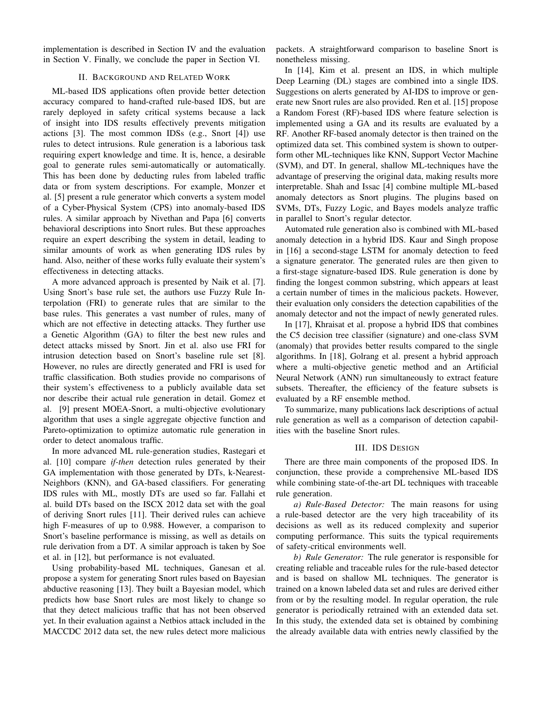implementation is described in Section IV and the evaluation in Section V. Finally, we conclude the paper in Section VI.

# II. BACKGROUND AND RELATED WORK

ML-based IDS applications often provide better detection accuracy compared to hand-crafted rule-based IDS, but are rarely deployed in safety critical systems because a lack of insight into IDS results effectively prevents mitigation actions [3]. The most common IDSs (e.g., Snort [4]) use rules to detect intrusions. Rule generation is a laborious task requiring expert knowledge and time. It is, hence, a desirable goal to generate rules semi-automatically or automatically. This has been done by deducting rules from labeled traffic data or from system descriptions. For example, Monzer et al. [5] present a rule generator which converts a system model of a Cyber-Physical System (CPS) into anomaly-based IDS rules. A similar approach by Nivethan and Papa [6] converts behavioral descriptions into Snort rules. But these approaches require an expert describing the system in detail, leading to similar amounts of work as when generating IDS rules by hand. Also, neither of these works fully evaluate their system's effectiveness in detecting attacks.

A more advanced approach is presented by Naik et al. [7]. Using Snort's base rule set, the authors use Fuzzy Rule Interpolation (FRI) to generate rules that are similar to the base rules. This generates a vast number of rules, many of which are not effective in detecting attacks. They further use a Genetic Algorithm (GA) to filter the best new rules and detect attacks missed by Snort. Jin et al. also use FRI for intrusion detection based on Snort's baseline rule set [8]. However, no rules are directly generated and FRI is used for traffic classification. Both studies provide no comparisons of their system's effectiveness to a publicly available data set nor describe their actual rule generation in detail. Gomez et al. [9] present MOEA-Snort, a multi-objective evolutionary algorithm that uses a single aggregate objective function and Pareto-optimization to optimize automatic rule generation in order to detect anomalous traffic.

In more advanced ML rule-generation studies, Rastegari et al. [10] compare *if-then* detection rules generated by their GA implementation with those generated by DTs, k-Nearest-Neighbors (KNN), and GA-based classifiers. For generating IDS rules with ML, mostly DTs are used so far. Fallahi et al. build DTs based on the ISCX 2012 data set with the goal of deriving Snort rules [11]. Their derived rules can achieve high F-measures of up to 0.988. However, a comparison to Snort's baseline performance is missing, as well as details on rule derivation from a DT. A similar approach is taken by Soe et al. in [12], but performance is not evaluated.

Using probability-based ML techniques, Ganesan et al. propose a system for generating Snort rules based on Bayesian abductive reasoning [13]. They built a Bayesian model, which predicts how base Snort rules are most likely to change so that they detect malicious traffic that has not been observed yet. In their evaluation against a Netbios attack included in the MACCDC 2012 data set, the new rules detect more malicious

packets. A straightforward comparison to baseline Snort is nonetheless missing.

In [14], Kim et al. present an IDS, in which multiple Deep Learning (DL) stages are combined into a single IDS. Suggestions on alerts generated by AI-IDS to improve or generate new Snort rules are also provided. Ren et al. [15] propose a Random Forest (RF)-based IDS where feature selection is implemented using a GA and its results are evaluated by a RF. Another RF-based anomaly detector is then trained on the optimized data set. This combined system is shown to outperform other ML-techniques like KNN, Support Vector Machine (SVM), and DT. In general, shallow ML-techniques have the advantage of preserving the original data, making results more interpretable. Shah and Issac [4] combine multiple ML-based anomaly detectors as Snort plugins. The plugins based on SVMs, DTs, Fuzzy Logic, and Bayes models analyze traffic in parallel to Snort's regular detector.

Automated rule generation also is combined with ML-based anomaly detection in a hybrid IDS. Kaur and Singh propose in [16] a second-stage LSTM for anomaly detection to feed a signature generator. The generated rules are then given to a first-stage signature-based IDS. Rule generation is done by finding the longest common substring, which appears at least a certain number of times in the malicious packets. However, their evaluation only considers the detection capabilities of the anomaly detector and not the impact of newly generated rules.

In [17], Khraisat et al. propose a hybrid IDS that combines the C5 decision tree classifier (signature) and one-class SVM (anomaly) that provides better results compared to the single algorithms. In [18], Golrang et al. present a hybrid approach where a multi-objective genetic method and an Artificial Neural Network (ANN) run simultaneously to extract feature subsets. Thereafter, the efficiency of the feature subsets is evaluated by a RF ensemble method.

To summarize, many publications lack descriptions of actual rule generation as well as a comparison of detection capabilities with the baseline Snort rules.

## III. IDS DESIGN

There are three main components of the proposed IDS. In conjunction, these provide a comprehensive ML-based IDS while combining state-of-the-art DL techniques with traceable rule generation.

*a) Rule-Based Detector:* The main reasons for using a rule-based detector are the very high traceability of its decisions as well as its reduced complexity and superior computing performance. This suits the typical requirements of safety-critical environments well.

*b) Rule Generator:* The rule generator is responsible for creating reliable and traceable rules for the rule-based detector and is based on shallow ML techniques. The generator is trained on a known labeled data set and rules are derived either from or by the resulting model. In regular operation, the rule generator is periodically retrained with an extended data set. In this study, the extended data set is obtained by combining the already available data with entries newly classified by the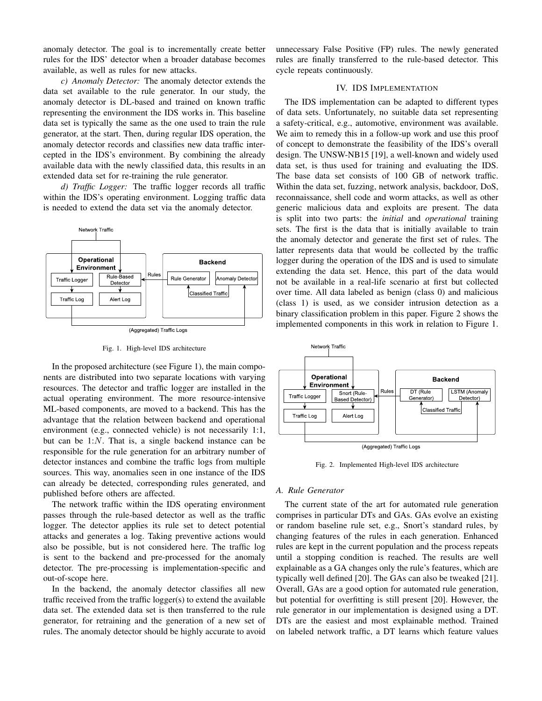anomaly detector. The goal is to incrementally create better rules for the IDS' detector when a broader database becomes available, as well as rules for new attacks.

*c) Anomaly Detector:* The anomaly detector extends the data set available to the rule generator. In our study, the anomaly detector is DL-based and trained on known traffic representing the environment the IDS works in. This baseline data set is typically the same as the one used to train the rule generator, at the start. Then, during regular IDS operation, the anomaly detector records and classifies new data traffic intercepted in the IDS's environment. By combining the already available data with the newly classified data, this results in an extended data set for re-training the rule generator.

*d) Traffic Logger:* The traffic logger records all traffic within the IDS's operating environment. Logging traffic data is needed to extend the data set via the anomaly detector.



Fig. 1. High-level IDS architecture

In the proposed architecture (see Figure 1), the main components are distributed into two separate locations with varying resources. The detector and traffic logger are installed in the actual operating environment. The more resource-intensive ML-based components, are moved to a backend. This has the advantage that the relation between backend and operational environment (e.g., connected vehicle) is not necessarily 1:1, but can be  $1:N$ . That is, a single backend instance can be responsible for the rule generation for an arbitrary number of detector instances and combine the traffic logs from multiple sources. This way, anomalies seen in one instance of the IDS can already be detected, corresponding rules generated, and published before others are affected.

The network traffic within the IDS operating environment passes through the rule-based detector as well as the traffic logger. The detector applies its rule set to detect potential attacks and generates a log. Taking preventive actions would also be possible, but is not considered here. The traffic log is sent to the backend and pre-processed for the anomaly detector. The pre-processing is implementation-specific and out-of-scope here.

In the backend, the anomaly detector classifies all new traffic received from the traffic logger(s) to extend the available data set. The extended data set is then transferred to the rule generator, for retraining and the generation of a new set of rules. The anomaly detector should be highly accurate to avoid

unnecessary False Positive (FP) rules. The newly generated rules are finally transferred to the rule-based detector. This cycle repeats continuously.

# IV. IDS IMPLEMENTATION

The IDS implementation can be adapted to different types of data sets. Unfortunately, no suitable data set representing a safety-critical, e.g., automotive, environment was available. We aim to remedy this in a follow-up work and use this proof of concept to demonstrate the feasibility of the IDS's overall design. The UNSW-NB15 [19], a well-known and widely used data set, is thus used for training and evaluating the IDS. The base data set consists of 100 GB of network traffic. Within the data set, fuzzing, network analysis, backdoor, DoS, reconnaissance, shell code and worm attacks, as well as other generic malicious data and exploits are present. The data is split into two parts: the *initial* and *operational* training sets. The first is the data that is initially available to train the anomaly detector and generate the first set of rules. The latter represents data that would be collected by the traffic logger during the operation of the IDS and is used to simulate extending the data set. Hence, this part of the data would not be available in a real-life scenario at first but collected over time. All data labeled as benign (class 0) and malicious (class 1) is used, as we consider intrusion detection as a binary classification problem in this paper. Figure 2 shows the implemented components in this work in relation to Figure 1.



Fig. 2. Implemented High-level IDS architecture

# *A. Rule Generator*

The current state of the art for automated rule generation comprises in particular DTs and GAs. GAs evolve an existing or random baseline rule set, e.g., Snort's standard rules, by changing features of the rules in each generation. Enhanced rules are kept in the current population and the process repeats until a stopping condition is reached. The results are well explainable as a GA changes only the rule's features, which are typically well defined [20]. The GAs can also be tweaked [21]. Overall, GAs are a good option for automated rule generation, but potential for overfitting is still present [20]. However, the rule generator in our implementation is designed using a DT. DTs are the easiest and most explainable method. Trained on labeled network traffic, a DT learns which feature values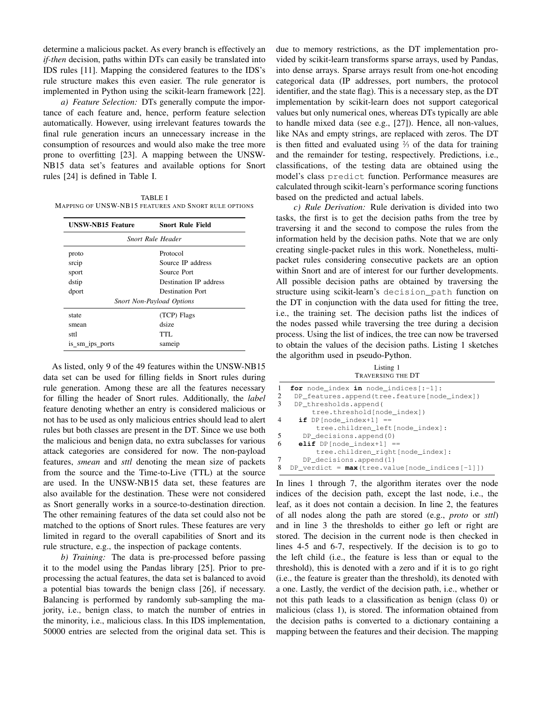determine a malicious packet. As every branch is effectively an *if-then* decision, paths within DTs can easily be translated into IDS rules [11]. Mapping the considered features to the IDS's rule structure makes this even easier. The rule generator is implemented in Python using the scikit-learn framework [22].

*a) Feature Selection:* DTs generally compute the importance of each feature and, hence, perform feature selection automatically. However, using irrelevant features towards the final rule generation incurs an unnecessary increase in the consumption of resources and would also make the tree more prone to overfitting [23]. A mapping between the UNSW-NB15 data set's features and available options for Snort rules [24] is defined in Table I.

TABLE I MAPPING OF UNSW-NB15 FEATURES AND SNORT RULE OPTIONS

| <b>UNSW-NB15 Feature</b> | <b>Snort Rule Field</b>          |  |  |  |  |
|--------------------------|----------------------------------|--|--|--|--|
| Snort Rule Header        |                                  |  |  |  |  |
| proto                    | Protocol                         |  |  |  |  |
| srcip                    | Source IP address                |  |  |  |  |
| sport                    | Source Port                      |  |  |  |  |
| dstip                    | Destination IP address           |  |  |  |  |
| dport                    | <b>Destination Port</b>          |  |  |  |  |
|                          | <b>Snort Non-Payload Options</b> |  |  |  |  |
| state                    | (TCP) Flags                      |  |  |  |  |
| smean                    | dsize                            |  |  |  |  |
| sttl                     | TTL.                             |  |  |  |  |
| is_sm_ips_ports          | sameip                           |  |  |  |  |

As listed, only 9 of the 49 features within the UNSW-NB15 data set can be used for filling fields in Snort rules during rule generation. Among these are all the features necessary for filling the header of Snort rules. Additionally, the *label* feature denoting whether an entry is considered malicious or not has to be used as only malicious entries should lead to alert rules but both classes are present in the DT. Since we use both the malicious and benign data, no extra subclasses for various attack categories are considered for now. The non-payload features, *smean* and *sttl* denoting the mean size of packets from the source and the Time-to-Live (TTL) at the source are used. In the UNSW-NB15 data set, these features are also available for the destination. These were not considered as Snort generally works in a source-to-destination direction. The other remaining features of the data set could also not be matched to the options of Snort rules. These features are very limited in regard to the overall capabilities of Snort and its rule structure, e.g., the inspection of package contents.

*b) Training:* The data is pre-processed before passing it to the model using the Pandas library [25]. Prior to preprocessing the actual features, the data set is balanced to avoid a potential bias towards the benign class [26], if necessary. Balancing is performed by randomly sub-sampling the majority, i.e., benign class, to match the number of entries in the minority, i.e., malicious class. In this IDS implementation, 50000 entries are selected from the original data set. This is due to memory restrictions, as the DT implementation provided by scikit-learn transforms sparse arrays, used by Pandas, into dense arrays. Sparse arrays result from one-hot encoding categorical data (IP addresses, port numbers, the protocol identifier, and the state flag). This is a necessary step, as the DT implementation by scikit-learn does not support categorical values but only numerical ones, whereas DTs typically are able to handle mixed data (see e.g., [27]). Hence, all non-values, like NAs and empty strings, are replaced with zeros. The DT is then fitted and evaluated using  $\frac{2}{3}$  of the data for training and the remainder for testing, respectively. Predictions, i.e., classifications, of the testing data are obtained using the model's class predict function. Performance measures are calculated through scikit-learn's performance scoring functions based on the predicted and actual labels.

*c) Rule Derivation:* Rule derivation is divided into two tasks, the first is to get the decision paths from the tree by traversing it and the second to compose the rules from the information held by the decision paths. Note that we are only creating single-packet rules in this work. Nonetheless, multipacket rules considering consecutive packets are an option within Snort and are of interest for our further developments. All possible decision paths are obtained by traversing the structure using scikit-learn's decision\_path function on the DT in conjunction with the data used for fitting the tree, i.e., the training set. The decision paths list the indices of the nodes passed while traversing the tree during a decision process. Using the list of indices, the tree can now be traversed to obtain the values of the decision paths. Listing 1 sketches the algorithm used in pseudo-Python.

Listing 1 TRAVERSING THE DT

| 1 | for node index in node indices $[-1]$ :         |
|---|-------------------------------------------------|
| 2 | DP_features.append(tree.feature[node_index])    |
| 3 | DP thresholds.append(                           |
|   | tree.threshold[node_index])                     |
| 4 | if DP $[node index+1] ==$                       |
|   | tree.children left[node index]:                 |
| 5 | DP decisions.append(0)                          |
| 6 | elif DP $[node index+1] ==$                     |
|   | tree.children right[node index]:                |
| 7 | DP decisions.append(1)                          |
| 8 | DP verdict = $max(tree.value node indices[-1])$ |
|   |                                                 |

In lines 1 through 7, the algorithm iterates over the node indices of the decision path, except the last node, i.e., the leaf, as it does not contain a decision. In line 2, the features of all nodes along the path are stored (e.g., *proto* or *sttl*) and in line 3 the thresholds to either go left or right are stored. The decision in the current node is then checked in lines 4-5 and 6-7, respectively. If the decision is to go to the left child (i.e., the feature is less than or equal to the threshold), this is denoted with a zero and if it is to go right (i.e., the feature is greater than the threshold), its denoted with a one. Lastly, the verdict of the decision path, i.e., whether or not this path leads to a classification as benign (class 0) or malicious (class 1), is stored. The information obtained from the decision paths is converted to a dictionary containing a mapping between the features and their decision. The mapping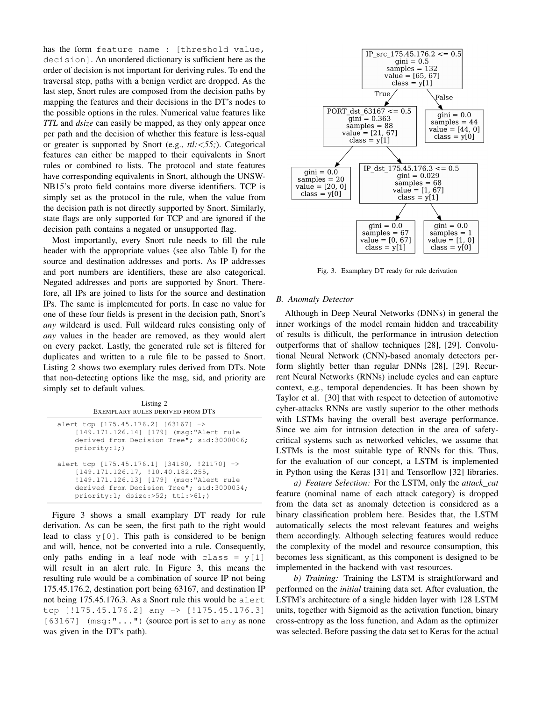has the form feature name : [threshold value, decision]. An unordered dictionary is sufficient here as the order of decision is not important for deriving rules. To end the traversal step, paths with a benign verdict are dropped. As the last step, Snort rules are composed from the decision paths by mapping the features and their decisions in the DT's nodes to the possible options in the rules. Numerical value features like *TTL* and *dsize* can easily be mapped, as they only appear once per path and the decision of whether this feature is less-equal or greater is supported by Snort (e.g., *ttl:*<*55;*). Categorical features can either be mapped to their equivalents in Snort rules or combined to lists. The protocol and state features have corresponding equivalents in Snort, although the UNSW-NB15's proto field contains more diverse identifiers. TCP is simply set as the protocol in the rule, when the value from the decision path is not directly supported by Snort. Similarly, state flags are only supported for TCP and are ignored if the decision path contains a negated or unsupported flag.

Most importantly, every Snort rule needs to fill the rule header with the appropriate values (see also Table I) for the source and destination addresses and ports. As IP addresses and port numbers are identifiers, these are also categorical. Negated addresses and ports are supported by Snort. Therefore, all IPs are joined to lists for the source and destination IPs. The same is implemented for ports. In case no value for one of these four fields is present in the decision path, Snort's *any* wildcard is used. Full wildcard rules consisting only of *any* values in the header are removed, as they would alert on every packet. Lastly, the generated rule set is filtered for duplicates and written to a rule file to be passed to Snort. Listing 2 shows two exemplary rules derived from DTs. Note that non-detecting options like the msg, sid, and priority are simply set to default values.

Listing 2 EXEMPLARY RULES DERIVED FROM DTS

| alert tcp $[175.45.176.2]$ $[63167]$ -><br>[149.171.126.14] [179] (msq: "Alert rule<br>derived from Decision Tree"; sid:3000006;<br>priority:1;                                                                    |
|--------------------------------------------------------------------------------------------------------------------------------------------------------------------------------------------------------------------|
| alert tcp [175.45.176.1] [34180, !21170] -><br>[149.171.126.17, 110.40.182.255,<br>!149.171.126.13] [179] (msq:"Alert rule<br>derived from Decision Tree"; sid:3000034;<br>$priority:1;$ $disce: >52;$ $ttl: >61;$ |

Figure 3 shows a small examplary DT ready for rule derivation. As can be seen, the first path to the right would lead to class  $y[0]$ . This path is considered to be benign and will, hence, not be converted into a rule. Consequently, only paths ending in a leaf node with class =  $y[1]$ will result in an alert rule. In Figure 3, this means the resulting rule would be a combination of source IP not being 175.45.176.2, destination port being 63167, and destination IP not being 175.45.176.3. As a Snort rule this would be alert tcp [!175.45.176.2] any -> [!175.45.176.3]  $[63167]$  (msq:"...") (source port is set to any as none was given in the DT's path).



Fig. 3. Examplary DT ready for rule derivation

## *B. Anomaly Detector*

Although in Deep Neural Networks (DNNs) in general the inner workings of the model remain hidden and traceability of results is difficult, the performance in intrusion detection outperforms that of shallow techniques [28], [29]. Convolutional Neural Network (CNN)-based anomaly detectors perform slightly better than regular DNNs [28], [29]. Recurrent Neural Networks (RNNs) include cycles and can capture context, e.g., temporal dependencies. It has been shown by Taylor et al. [30] that with respect to detection of automotive cyber-attacks RNNs are vastly superior to the other methods with LSTMs having the overall best average performance. Since we aim for intrusion detection in the area of safetycritical systems such as networked vehicles, we assume that LSTMs is the most suitable type of RNNs for this. Thus, for the evaluation of our concept, a LSTM is implemented in Python using the Keras [31] and Tensorflow [32] libraries.

*a) Feature Selection:* For the LSTM, only the *attack cat* feature (nominal name of each attack category) is dropped from the data set as anomaly detection is considered as a binary classification problem here. Besides that, the LSTM automatically selects the most relevant features and weighs them accordingly. Although selecting features would reduce the complexity of the model and resource consumption, this becomes less significant, as this component is designed to be implemented in the backend with vast resources.

*b) Training:* Training the LSTM is straightforward and performed on the *initial* training data set. After evaluation, the LSTM's architecture of a single hidden layer with 128 LSTM units, together with Sigmoid as the activation function, binary cross-entropy as the loss function, and Adam as the optimizer was selected. Before passing the data set to Keras for the actual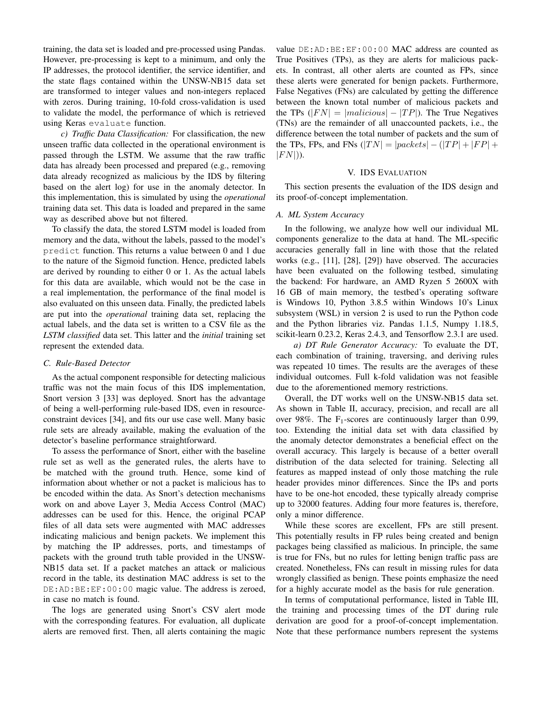training, the data set is loaded and pre-processed using Pandas. However, pre-processing is kept to a minimum, and only the IP addresses, the protocol identifier, the service identifier, and the state flags contained within the UNSW-NB15 data set are transformed to integer values and non-integers replaced with zeros. During training, 10-fold cross-validation is used to validate the model, the performance of which is retrieved using Keras evaluate function.

*c) Traffic Data Classification:* For classification, the new unseen traffic data collected in the operational environment is passed through the LSTM. We assume that the raw traffic data has already been processed and prepared (e.g., removing data already recognized as malicious by the IDS by filtering based on the alert log) for use in the anomaly detector. In this implementation, this is simulated by using the *operational* training data set. This data is loaded and prepared in the same way as described above but not filtered.

To classify the data, the stored LSTM model is loaded from memory and the data, without the labels, passed to the model's predict function. This returns a value between 0 and 1 due to the nature of the Sigmoid function. Hence, predicted labels are derived by rounding to either 0 or 1. As the actual labels for this data are available, which would not be the case in a real implementation, the performance of the final model is also evaluated on this unseen data. Finally, the predicted labels are put into the *operational* training data set, replacing the actual labels, and the data set is written to a CSV file as the *LSTM classified* data set. This latter and the *initial* training set represent the extended data.

## *C. Rule-Based Detector*

As the actual component responsible for detecting malicious traffic was not the main focus of this IDS implementation, Snort version 3 [33] was deployed. Snort has the advantage of being a well-performing rule-based IDS, even in resourceconstraint devices [34], and fits our use case well. Many basic rule sets are already available, making the evaluation of the detector's baseline performance straightforward.

To assess the performance of Snort, either with the baseline rule set as well as the generated rules, the alerts have to be matched with the ground truth. Hence, some kind of information about whether or not a packet is malicious has to be encoded within the data. As Snort's detection mechanisms work on and above Layer 3, Media Access Control (MAC) addresses can be used for this. Hence, the original PCAP files of all data sets were augmented with MAC addresses indicating malicious and benign packets. We implement this by matching the IP addresses, ports, and timestamps of packets with the ground truth table provided in the UNSW-NB15 data set. If a packet matches an attack or malicious record in the table, its destination MAC address is set to the DE:AD:BE:EF:00:00 magic value. The address is zeroed, in case no match is found.

The logs are generated using Snort's CSV alert mode with the corresponding features. For evaluation, all duplicate alerts are removed first. Then, all alerts containing the magic

value DE:AD:BE:EF:00:00 MAC address are counted as True Positives (TPs), as they are alerts for malicious packets. In contrast, all other alerts are counted as FPs, since these alerts were generated for benign packets. Furthermore, False Negatives (FNs) are calculated by getting the difference between the known total number of malicious packets and the TPs ( $|FN| = |malicious| - |TP|$ ). The True Negatives (TNs) are the remainder of all unaccounted packets, i.e., the difference between the total number of packets and the sum of the TPs, FPs, and FNs  $(|TN| = |packets| - (|TP| + |FP| +$  $|FN|$ ).

#### V. IDS EVALUATION

This section presents the evaluation of the IDS design and its proof-of-concept implementation.

## *A. ML System Accuracy*

In the following, we analyze how well our individual ML components generalize to the data at hand. The ML-specific accuracies generally fall in line with those that the related works (e.g., [11], [28], [29]) have observed. The accuracies have been evaluated on the following testbed, simulating the backend: For hardware, an AMD Ryzen 5 2600X with 16 GB of main memory, the testbed's operating software is Windows 10, Python 3.8.5 within Windows 10's Linux subsystem (WSL) in version 2 is used to run the Python code and the Python libraries viz. Pandas 1.1.5, Numpy 1.18.5, scikit-learn 0.23.2, Keras 2.4.3, and Tensorflow 2.3.1 are used.

*a) DT Rule Generator Accuracy:* To evaluate the DT, each combination of training, traversing, and deriving rules was repeated 10 times. The results are the averages of these individual outcomes. Full k-fold validation was not feasible due to the aforementioned memory restrictions.

Overall, the DT works well on the UNSW-NB15 data set. As shown in Table II, accuracy, precision, and recall are all over 98%. The  $F_1$ -scores are continuously larger than 0.99, too. Extending the initial data set with data classified by the anomaly detector demonstrates a beneficial effect on the overall accuracy. This largely is because of a better overall distribution of the data selected for training. Selecting all features as mapped instead of only those matching the rule header provides minor differences. Since the IPs and ports have to be one-hot encoded, these typically already comprise up to 32000 features. Adding four more features is, therefore, only a minor difference.

While these scores are excellent, FPs are still present. This potentially results in FP rules being created and benign packages being classified as malicious. In principle, the same is true for FNs, but no rules for letting benign traffic pass are created. Nonetheless, FNs can result in missing rules for data wrongly classified as benign. These points emphasize the need for a highly accurate model as the basis for rule generation.

In terms of computational performance, listed in Table III, the training and processing times of the DT during rule derivation are good for a proof-of-concept implementation. Note that these performance numbers represent the systems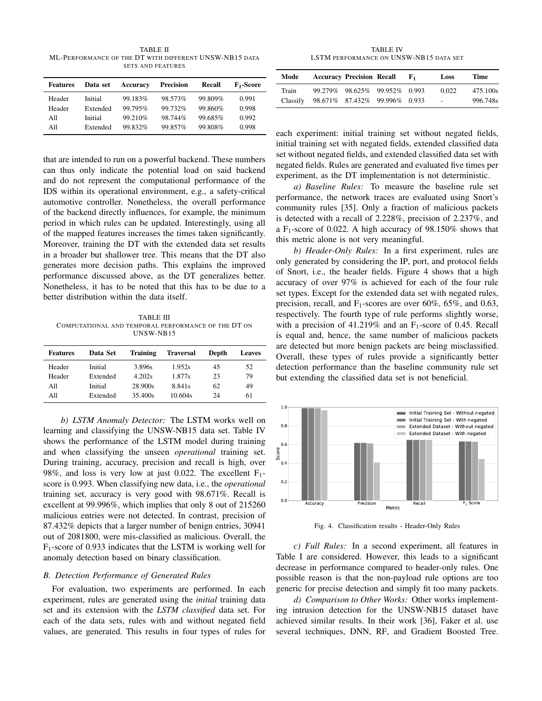TABLE II ML-PERFORMANCE OF THE DT WITH DIFFERENT UNSW-NB15 DATA SETS AND FEATURES

| <b>Features</b> | Data set | Accuracy | <b>Precision</b> | Recall  | F <sub>1</sub> -Score |
|-----------------|----------|----------|------------------|---------|-----------------------|
| Header          | Initial  | 99.183%  | 98.573%          | 99.809% | 0.991                 |
| Header          | Extended | 99.795%  | 99.732%          | 99.860% | 0.998                 |
| All             | Initial  | 99.210\% | 98.744%          | 99.685% | 0.992                 |
| All             | Extended | 99.832%  | 99.857%          | 99.808% | 0.998                 |

that are intended to run on a powerful backend. These numbers can thus only indicate the potential load on said backend and do not represent the computational performance of the IDS within its operational environment, e.g., a safety-critical automotive controller. Nonetheless, the overall performance of the backend directly influences, for example, the minimum period in which rules can be updated. Interestingly, using all of the mapped features increases the times taken significantly. Moreover, training the DT with the extended data set results in a broader but shallower tree. This means that the DT also generates more decision paths. This explains the improved performance discussed above, as the DT generalizes better. Nonetheless, it has to be noted that this has to be due to a better distribution within the data itself.

TABLE III COMPUTATIONAL AND TEMPORAL PERFORMANCE OF THE DT ON UNSW-NB15

| <b>Features</b> | Data Set | <b>Training</b> | <b>Traversal</b> | Depth | <b>Leaves</b> |
|-----------------|----------|-----------------|------------------|-------|---------------|
| Header          | Initial  | 3.896s          | 1.952s           | 45    | 52            |
| Header          | Extended | 4.202s          | 1.877s           | 23    | 79            |
| All             | Initial  | 28.900s         | 8.841s           | 62    | 49            |
| All             | Extended | 35.400s         | 10.604s          | 24    | 61            |

*b) LSTM Anomaly Detector:* The LSTM works well on learning and classifying the UNSW-NB15 data set. Table IV shows the performance of the LSTM model during training and when classifying the unseen *operational* training set. During training, accuracy, precision and recall is high, over 98%, and loss is very low at just 0.022. The excellent  $F_1$ score is 0.993. When classifying new data, i.e., the *operational* training set, accuracy is very good with 98.671%. Recall is excellent at 99.996%, which implies that only 8 out of 215260 malicious entries were not detected. In contrast, precision of 87.432% depicts that a larger number of benign entries, 30941 out of 2081800, were mis-classified as malicious. Overall, the  $F_1$ -score of 0.933 indicates that the LSTM is working well for anomaly detection based on binary classification.

# *B. Detection Performance of Generated Rules*

For evaluation, two experiments are performed. In each experiment, rules are generated using the *initial* training data set and its extension with the *LSTM classified* data set. For each of the data sets, rules with and without negated field values, are generated. This results in four types of rules for

TABLE IV LSTM PERFORMANCE ON UNSW-NB15 DATA SET

| Mode     | <b>Accuracy Precision Recall</b> | $F_1$ | Loss   | Time     |
|----------|----------------------------------|-------|--------|----------|
| Train    | 99.279% 98.625% 99.952% 0.993    |       | 0.022  | 475.100s |
| Classify | 98.671% 87.432% 99.996% 0.933    |       | $\sim$ | 996.748s |

each experiment: initial training set without negated fields, initial training set with negated fields, extended classified data set without negated fields, and extended classified data set with negated fields. Rules are generated and evaluated five times per experiment, as the DT implementation is not deterministic.

*a) Baseline Rules:* To measure the baseline rule set performance, the network traces are evaluated using Snort's community rules [35]. Only a fraction of malicious packets is detected with a recall of 2.228%, precision of 2.237%, and a F<sub>1</sub>-score of 0.022. A high accuracy of  $98.150\%$  shows that this metric alone is not very meaningful.

*b) Header-Only Rules:* In a first experiment, rules are only generated by considering the IP, port, and protocol fields of Snort, i.e., the header fields. Figure 4 shows that a high accuracy of over 97% is achieved for each of the four rule set types. Except for the extended data set with negated rules, precision, recall, and  $F_1$ -scores are over 60%, 65%, and 0.63, respectively. The fourth type of rule performs slightly worse, with a precision of 41.219% and an  $F_1$ -score of 0.45. Recall is equal and, hence, the same number of malicious packets are detected but more benign packets are being misclassified. Overall, these types of rules provide a significantly better detection performance than the baseline community rule set but extending the classified data set is not beneficial.



Fig. 4. Classification results - Header-Only Rules

*c) Full Rules:* In a second experiment, all features in Table I are considered. However, this leads to a significant decrease in performance compared to header-only rules. One possible reason is that the non-payload rule options are too generic for precise detection and simply fit too many packets.

*d) Comparison to Other Works:* Other works implementing intrusion detection for the UNSW-NB15 dataset have achieved similar results. In their work [36], Faker et al. use several techniques, DNN, RF, and Gradient Boosted Tree.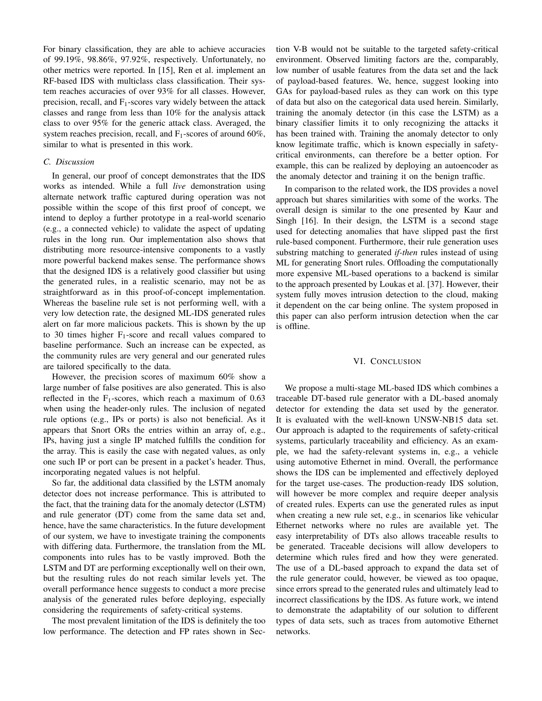For binary classification, they are able to achieve accuracies of 99.19%, 98.86%, 97.92%, respectively. Unfortunately, no other metrics were reported. In [15], Ren et al. implement an RF-based IDS with multiclass class classification. Their system reaches accuracies of over 93% for all classes. However, precision, recall, and  $F_1$ -scores vary widely between the attack classes and range from less than 10% for the analysis attack class to over 95% for the generic attack class. Averaged, the system reaches precision, recall, and  $F_1$ -scores of around 60%, similar to what is presented in this work.

# *C. Discussion*

In general, our proof of concept demonstrates that the IDS works as intended. While a full *live* demonstration using alternate network traffic captured during operation was not possible within the scope of this first proof of concept, we intend to deploy a further prototype in a real-world scenario (e.g., a connected vehicle) to validate the aspect of updating rules in the long run. Our implementation also shows that distributing more resource-intensive components to a vastly more powerful backend makes sense. The performance shows that the designed IDS is a relatively good classifier but using the generated rules, in a realistic scenario, may not be as straightforward as in this proof-of-concept implementation. Whereas the baseline rule set is not performing well, with a very low detection rate, the designed ML-IDS generated rules alert on far more malicious packets. This is shown by the up to 30 times higher  $F_1$ -score and recall values compared to baseline performance. Such an increase can be expected, as the community rules are very general and our generated rules are tailored specifically to the data.

However, the precision scores of maximum 60% show a large number of false positives are also generated. This is also reflected in the  $F_1$ -scores, which reach a maximum of 0.63 when using the header-only rules. The inclusion of negated rule options (e.g., IPs or ports) is also not beneficial. As it appears that Snort ORs the entries within an array of, e.g., IPs, having just a single IP matched fulfills the condition for the array. This is easily the case with negated values, as only one such IP or port can be present in a packet's header. Thus, incorporating negated values is not helpful.

So far, the additional data classified by the LSTM anomaly detector does not increase performance. This is attributed to the fact, that the training data for the anomaly detector (LSTM) and rule generator (DT) come from the same data set and, hence, have the same characteristics. In the future development of our system, we have to investigate training the components with differing data. Furthermore, the translation from the ML components into rules has to be vastly improved. Both the LSTM and DT are performing exceptionally well on their own, but the resulting rules do not reach similar levels yet. The overall performance hence suggests to conduct a more precise analysis of the generated rules before deploying, especially considering the requirements of safety-critical systems.

The most prevalent limitation of the IDS is definitely the too low performance. The detection and FP rates shown in Section V-B would not be suitable to the targeted safety-critical environment. Observed limiting factors are the, comparably, low number of usable features from the data set and the lack of payload-based features. We, hence, suggest looking into GAs for payload-based rules as they can work on this type of data but also on the categorical data used herein. Similarly, training the anomaly detector (in this case the LSTM) as a binary classifier limits it to only recognizing the attacks it has been trained with. Training the anomaly detector to only know legitimate traffic, which is known especially in safetycritical environments, can therefore be a better option. For example, this can be realized by deploying an autoencoder as the anomaly detector and training it on the benign traffic.

In comparison to the related work, the IDS provides a novel approach but shares similarities with some of the works. The overall design is similar to the one presented by Kaur and Singh [16]. In their design, the LSTM is a second stage used for detecting anomalies that have slipped past the first rule-based component. Furthermore, their rule generation uses substring matching to generated *if-then* rules instead of using ML for generating Snort rules. Offloading the computationally more expensive ML-based operations to a backend is similar to the approach presented by Loukas et al. [37]. However, their system fully moves intrusion detection to the cloud, making it dependent on the car being online. The system proposed in this paper can also perform intrusion detection when the car is offline.

#### VI. CONCLUSION

We propose a multi-stage ML-based IDS which combines a traceable DT-based rule generator with a DL-based anomaly detector for extending the data set used by the generator. It is evaluated with the well-known UNSW-NB15 data set. Our approach is adapted to the requirements of safety-critical systems, particularly traceability and efficiency. As an example, we had the safety-relevant systems in, e.g., a vehicle using automotive Ethernet in mind. Overall, the performance shows the IDS can be implemented and effectively deployed for the target use-cases. The production-ready IDS solution, will however be more complex and require deeper analysis of created rules. Experts can use the generated rules as input when creating a new rule set, e.g., in scenarios like vehicular Ethernet networks where no rules are available yet. The easy interpretability of DTs also allows traceable results to be generated. Traceable decisions will allow developers to determine which rules fired and how they were generated. The use of a DL-based approach to expand the data set of the rule generator could, however, be viewed as too opaque, since errors spread to the generated rules and ultimately lead to incorrect classifications by the IDS. As future work, we intend to demonstrate the adaptability of our solution to different types of data sets, such as traces from automotive Ethernet networks.